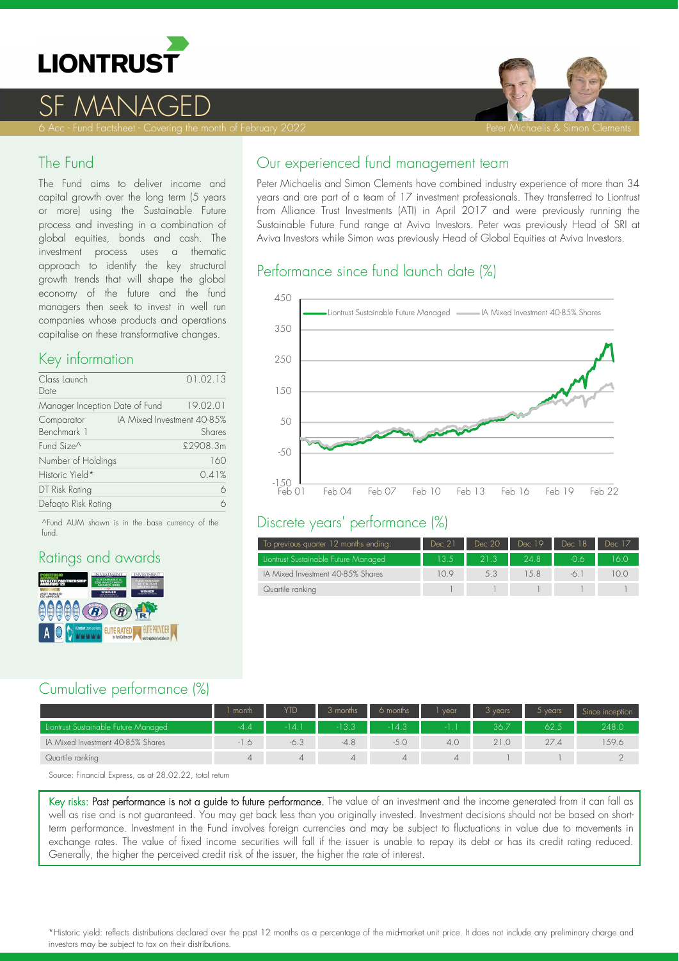

# <u>SF MANAGED</u>



#### The Fund

The Fund aims to deliver income and capital growth over the long term (5 years or more) using the Sustainable Future process and investing in a combination of global equities, bonds and cash. The investment process uses a thematic approach to identify the key structural growth trends that will shape the global economy of the future and the fund managers then seek to invest in well run companies whose products and operations capitalise on these transformative changes.

### Key information

| Class Launch<br>Date           | 01.02.13                             |
|--------------------------------|--------------------------------------|
| Manager Inception Date of Fund | 19.02.01                             |
| Comparator<br>Benchmark 1      | IA Mixed Investment 40-85%<br>Shares |
| Fund Size^                     | £2908.3m                             |
| Number of Holdings             | 160                                  |
| Historic Yield*                | 0.41%                                |
| DT Risk Rating                 |                                      |
| Defagto Risk Rating            |                                      |

^Fund AUM shown is in the base currency of the fund.

### Ratings and awards



## Our experienced fund management team

Peter Michaelis and Simon Clements have combined industry experience of more than 34 years and are part of a team of 17 investment professionals. They transferred to Liontrust from Alliance Trust Investments (ATI) in April 2017 and were previously running the Sustainable Future Fund range at Aviva Investors. Peter was previously Head of SRI at Aviva Investors while Simon was previously Head of Global Equities at Aviva Investors.

# Performance since fund launch date (%)



#### Discrete years' performance (%)

| To previous quarter 12 months ending: | Dec 21         | Dec 20 | Dec 19 | Dec 18 | Dec 17 |
|---------------------------------------|----------------|--------|--------|--------|--------|
| Liontrust Sustainable Future Managed  | $13.5^{\circ}$ | 21.3   | 24.8.  |        | 16.0   |
| IA Mixed Investment 40-85% Shares     |                | 5.3    | 1.5.8  |        |        |
| Quartile ranking                      |                |        |        |        |        |

### Cumulative performance (%)

|                                      | month | YTD  | 3 months | 6 months | vear   | 3 years | $5$ years | Since inception |
|--------------------------------------|-------|------|----------|----------|--------|---------|-----------|-----------------|
| Liontrust Sustainable Future Managed |       |      | 13.3     | $-14.3$  | $-1.1$ | 36.7    | 62.5      | 248.0           |
| IA Mixed Investment 40-85% Shares    |       | .6.3 | $-4.8$   |          | 4.0    |         | 27.4      | 59.6            |
| Quartile ranking                     |       |      |          | 4        |        |         |           |                 |

Source: Financial Express, as at 28.02.22, total return

Key risks: Past performance is not a guide to future performance. The value of an investment and the income generated from it can fall as well as rise and is not guaranteed. You may get back less than you originally invested. Investment decisions should not be based on short term performance. Investment in the Fund involves foreign currencies and may be subject to fluctuations in value due to movements in exchange rates. The value of fixed income securities will fall if the issuer is unable to repay its debt or has its credit rating reduced. Generally, the higher the perceived credit risk of the issuer, the higher the rate of interest.

\*Historic yield: reflects distributions declared over the past 12 months as a percentage of the midmarket unit price. It does not include any preliminary charge and investors may be subject to tax on their distributions.